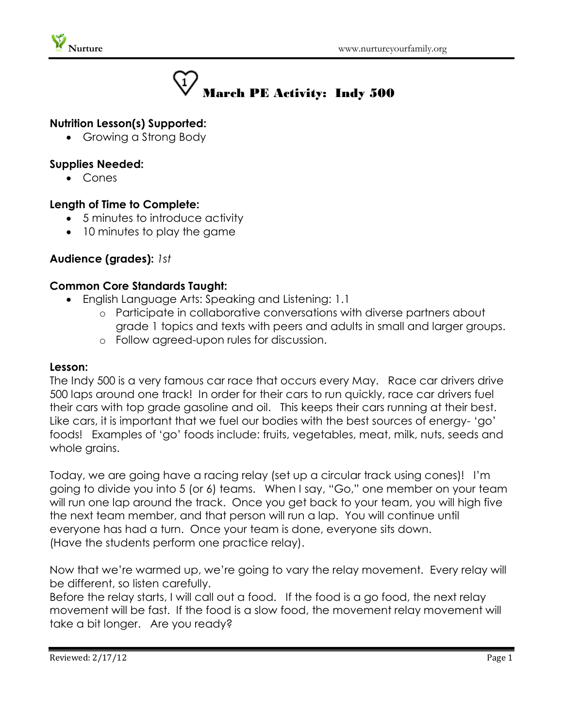

# March PE Activity: Indy 500

# **Nutrition Lesson(s) Supported:**

• Growing a Strong Body

#### **Supplies Needed:**

Cones

# **Length of Time to Complete:**

- 5 minutes to introduce activity
- 10 minutes to play the game

# **Audience (grades):** *1st*

#### **Common Core Standards Taught:**

- English Language Arts: Speaking and Listening: 1.1
	- o Participate in collaborative conversations with diverse partners about grade 1 topics and texts with peers and adults in small and larger groups.
	- o Follow agreed-upon rules for discussion.

#### **Lesson:**

The Indy 500 is a very famous car race that occurs every May. Race car drivers drive 500 laps around one track! In order for their cars to run quickly, race car drivers fuel their cars with top grade gasoline and oil. This keeps their cars running at their best. Like cars, it is important that we fuel our bodies with the best sources of energy- 'go' foods! Examples of 'go' foods include: fruits, vegetables, meat, milk, nuts, seeds and whole grains.

Today, we are going have a racing relay (set up a circular track using cones)! I'm going to divide you into 5 (or 6) teams. When I say, "Go," one member on your team will run one lap around the track. Once you get back to your team, you will high five the next team member, and that person will run a lap. You will continue until everyone has had a turn. Once your team is done, everyone sits down. (Have the students perform one practice relay).

Now that we're warmed up, we're going to vary the relay movement. Every relay will be different, so listen carefully.

Before the relay starts, I will call out a food. If the food is a go food, the next relay movement will be fast. If the food is a slow food, the movement relay movement will take a bit longer. Are you ready?